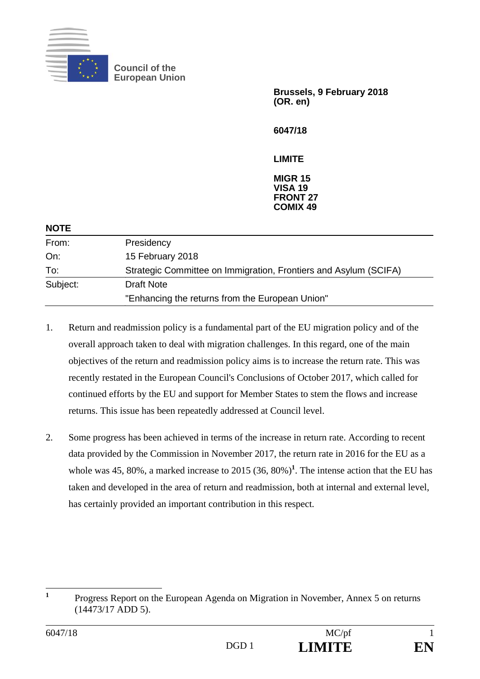

**Council of the European Union** 

> **Brussels, 9 February 2018 (OR. en)**

**6047/18** 

**LIMITE** 

**MIGR 15 VISA 19 FRONT 27 COMIX 49**

| <b>NOTE</b> |                                                                  |
|-------------|------------------------------------------------------------------|
| From:       | Presidency                                                       |
| On:         | 15 February 2018                                                 |
| To:         | Strategic Committee on Immigration, Frontiers and Asylum (SCIFA) |
| Subject:    | <b>Draft Note</b>                                                |
|             | "Enhancing the returns from the European Union"                  |
|             |                                                                  |

- 1. Return and readmission policy is a fundamental part of the EU migration policy and of the overall approach taken to deal with migration challenges. In this regard, one of the main objectives of the return and readmission policy aims is to increase the return rate. This was recently restated in the European Council's Conclusions of October 2017, which called for continued efforts by the EU and support for Member States to stem the flows and increase returns. This issue has been repeatedly addressed at Council level.
- 2. Some progress has been achieved in terms of the increase in return rate. According to recent data provided by the Commission in November 2017, the return rate in 2016 for the EU as a whole was 45, 80%, a marked increase to 2015  $(36, 80\%)^1$ . The intense action that the EU has taken and developed in the area of return and readmission, both at internal and external level, has certainly provided an important contribution in this respect.

 **1** Progress Report on the European Agenda on Migration in November, Annex 5 on returns (14473/17 ADD 5).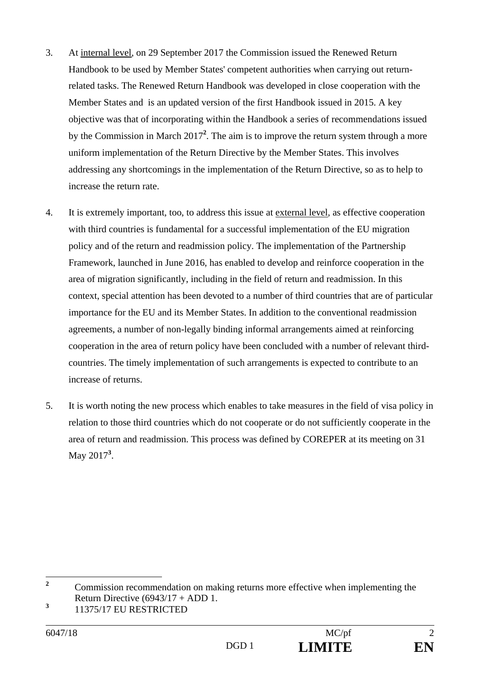- 3. At internal level, on 29 September 2017 the Commission issued the Renewed Return Handbook to be used by Member States' competent authorities when carrying out returnrelated tasks. The Renewed Return Handbook was developed in close cooperation with the Member States and is an updated version of the first Handbook issued in 2015. A key objective was that of incorporating within the Handbook a series of recommendations issued by the Commission in March 2017**<sup>2</sup>** . The aim is to improve the return system through a more uniform implementation of the Return Directive by the Member States. This involves addressing any shortcomings in the implementation of the Return Directive, so as to help to increase the return rate.
- 4. It is extremely important, too, to address this issue at external level, as effective cooperation with third countries is fundamental for a successful implementation of the EU migration policy and of the return and readmission policy. The implementation of the Partnership Framework, launched in June 2016, has enabled to develop and reinforce cooperation in the area of migration significantly, including in the field of return and readmission. In this context, special attention has been devoted to a number of third countries that are of particular importance for the EU and its Member States. In addition to the conventional readmission agreements, a number of non-legally binding informal arrangements aimed at reinforcing cooperation in the area of return policy have been concluded with a number of relevant thirdcountries. The timely implementation of such arrangements is expected to contribute to an increase of returns.
- 5. It is worth noting the new process which enables to take measures in the field of visa policy in relation to those third countries which do not cooperate or do not sufficiently cooperate in the area of return and readmission. This process was defined by COREPER at its meeting on 31 May 2017**<sup>3</sup>** .

 **2** Commission recommendation on making returns more effective when implementing the Return Directive  $(6943/17 + ADD 1$ .

**<sup>3</sup>** 11375/17 EU RESTRICTED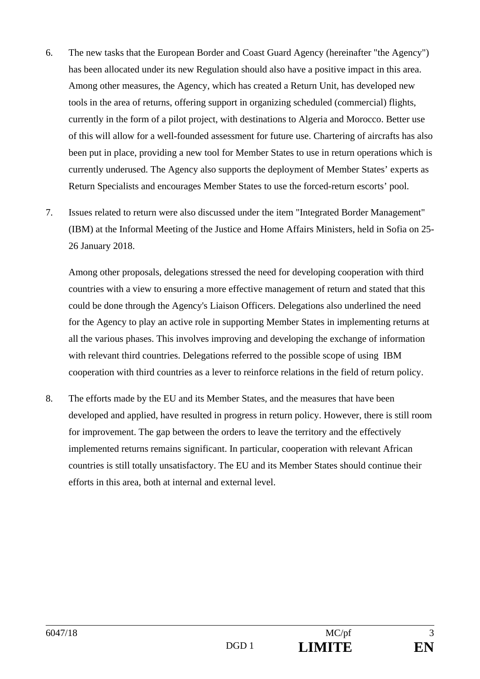- 6. The new tasks that the European Border and Coast Guard Agency (hereinafter "the Agency") has been allocated under its new Regulation should also have a positive impact in this area. Among other measures, the Agency, which has created a Return Unit, has developed new tools in the area of returns, offering support in organizing scheduled (commercial) flights, currently in the form of a pilot project, with destinations to Algeria and Morocco. Better use of this will allow for a well-founded assessment for future use. Chartering of aircrafts has also been put in place, providing a new tool for Member States to use in return operations which is currently underused. The Agency also supports the deployment of Member States' experts as Return Specialists and encourages Member States to use the forced-return escorts' pool.
- 7. Issues related to return were also discussed under the item "Integrated Border Management" (IBM) at the Informal Meeting of the Justice and Home Affairs Ministers, held in Sofia on 25- 26 January 2018.

Among other proposals, delegations stressed the need for developing cooperation with third countries with a view to ensuring a more effective management of return and stated that this could be done through the Agency's Liaison Officers. Delegations also underlined the need for the Agency to play an active role in supporting Member States in implementing returns at all the various phases. This involves improving and developing the exchange of information with relevant third countries. Delegations referred to the possible scope of using IBM cooperation with third countries as a lever to reinforce relations in the field of return policy.

8. The efforts made by the EU and its Member States, and the measures that have been developed and applied, have resulted in progress in return policy. However, there is still room for improvement. The gap between the orders to leave the territory and the effectively implemented returns remains significant. In particular, cooperation with relevant African countries is still totally unsatisfactory. The EU and its Member States should continue their efforts in this area, both at internal and external level.